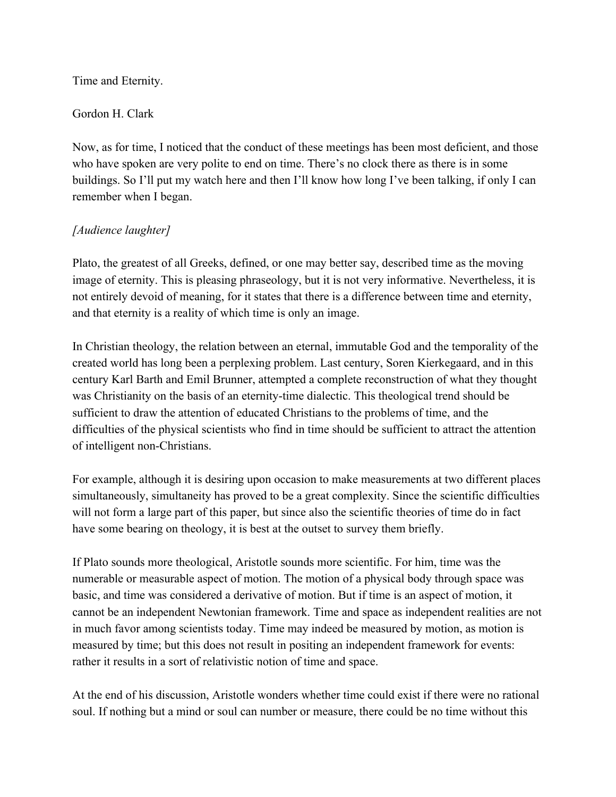Time and Eternity.

## Gordon H. Clark

Now, as for time, I noticed that the conduct of these meetings has been most deficient, and those who have spoken are very polite to end on time. There's no clock there as there is in some buildings. So I'll put my watch here and then I'll know how long I've been talking, if only I can remember when I began.

## *[Audience laughter]*

Plato, the greatest of all Greeks, defined, or one may better say, described time as the moving image of eternity. This is pleasing phraseology, but it is not very informative. Nevertheless, it is not entirely devoid of meaning, for it states that there is a difference between time and eternity, and that eternity is a reality of which time is only an image.

In Christian theology, the relation between an eternal, immutable God and the temporality of the created world has long been a perplexing problem. Last century, Soren Kierkegaard, and in this century Karl Barth and Emil Brunner, attempted a complete reconstruction of what they thought was Christianity on the basis of an eternity-time dialectic. This theological trend should be sufficient to draw the attention of educated Christians to the problems of time, and the difficulties of the physical scientists who find in time should be sufficient to attract the attention of intelligent non-Christians.

For example, although it is desiring upon occasion to make measurements at two different places simultaneously, simultaneity has proved to be a great complexity. Since the scientific difficulties will not form a large part of this paper, but since also the scientific theories of time do in fact have some bearing on theology, it is best at the outset to survey them briefly.

If Plato sounds more theological, Aristotle sounds more scientific. For him, time was the numerable or measurable aspect of motion. The motion of a physical body through space was basic, and time was considered a derivative of motion. But if time is an aspect of motion, it cannot be an independent Newtonian framework. Time and space as independent realities are not in much favor among scientists today. Time may indeed be measured by motion, as motion is measured by time; but this does not result in positing an independent framework for events: rather it results in a sort of relativistic notion of time and space.

At the end of his discussion, Aristotle wonders whether time could exist if there were no rational soul. If nothing but a mind or soul can number or measure, there could be no time without this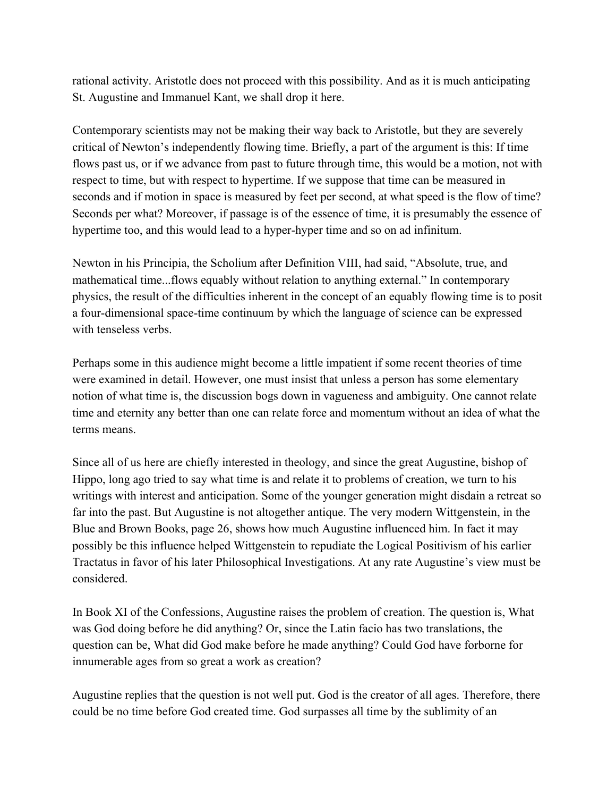rational activity. Aristotle does not proceed with this possibility. And as it is much anticipating St. Augustine and Immanuel Kant, we shall drop it here.

Contemporary scientists may not be making their way back to Aristotle, but they are severely critical of Newton's independently flowing time. Briefly, a part of the argument is this: If time flows past us, or if we advance from past to future through time, this would be a motion, not with respect to time, but with respect to hypertime. If we suppose that time can be measured in seconds and if motion in space is measured by feet per second, at what speed is the flow of time? Seconds per what? Moreover, if passage is of the essence of time, it is presumably the essence of hypertime too, and this would lead to a hyper-hyper time and so on ad infinitum.

Newton in his Principia, the Scholium after Definition VIII, had said, "Absolute, true, and mathematical time...flows equably without relation to anything external." In contemporary physics, the result of the difficulties inherent in the concept of an equably flowing time is to posit a four-dimensional space-time continuum by which the language of science can be expressed with tenseless verbs.

Perhaps some in this audience might become a little impatient if some recent theories of time were examined in detail. However, one must insist that unless a person has some elementary notion of what time is, the discussion bogs down in vagueness and ambiguity. One cannot relate time and eternity any better than one can relate force and momentum without an idea of what the terms means.

Since all of us here are chiefly interested in theology, and since the great Augustine, bishop of Hippo, long ago tried to say what time is and relate it to problems of creation, we turn to his writings with interest and anticipation. Some of the younger generation might disdain a retreat so far into the past. But Augustine is not altogether antique. The very modern Wittgenstein, in the Blue and Brown Books, page 26, shows how much Augustine influenced him. In fact it may possibly be this influence helped Wittgenstein to repudiate the Logical Positivism of his earlier Tractatus in favor of his later Philosophical Investigations. At any rate Augustine's view must be considered.

In Book XI of the Confessions, Augustine raises the problem of creation. The question is, What was God doing before he did anything? Or, since the Latin facio has two translations, the question can be, What did God make before he made anything? Could God have forborne for innumerable ages from so great a work as creation?

Augustine replies that the question is not well put. God is the creator of all ages. Therefore, there could be no time before God created time. God surpasses all time by the sublimity of an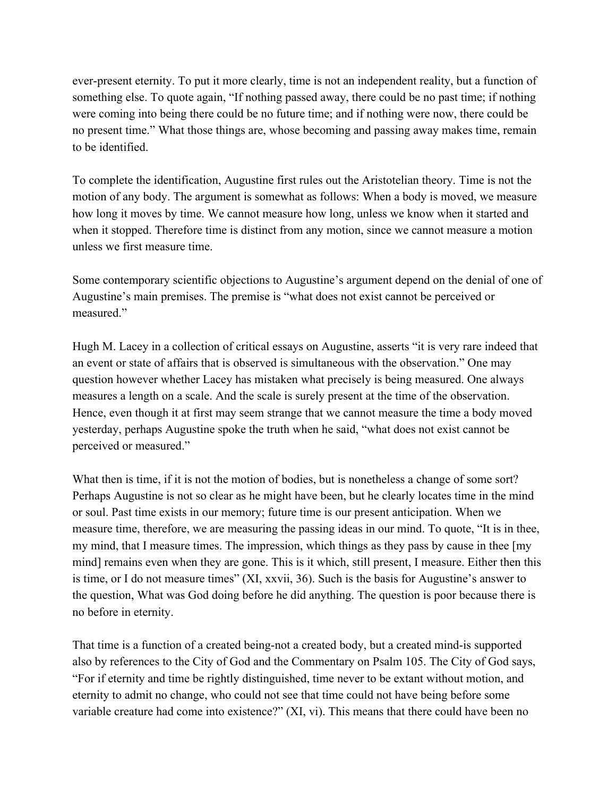ever-present eternity. To put it more clearly, time is not an independent reality, but a function of something else. To quote again, "If nothing passed away, there could be no past time; if nothing were coming into being there could be no future time; and if nothing were now, there could be no present time." What those things are, whose becoming and passing away makes time, remain to be identified.

To complete the identification, Augustine first rules out the Aristotelian theory. Time is not the motion of any body. The argument is somewhat as follows: When a body is moved, we measure how long it moves by time. We cannot measure how long, unless we know when it started and when it stopped. Therefore time is distinct from any motion, since we cannot measure a motion unless we first measure time.

Some contemporary scientific objections to Augustine's argument depend on the denial of one of Augustine's main premises. The premise is "what does not exist cannot be perceived or measured."

Hugh M. Lacey in a collection of critical essays on Augustine, asserts "it is very rare indeed that an event or state of affairs that is observed is simultaneous with the observation." One may question however whether Lacey has mistaken what precisely is being measured. One always measures a length on a scale. And the scale is surely present at the time of the observation. Hence, even though it at first may seem strange that we cannot measure the time a body moved yesterday, perhaps Augustine spoke the truth when he said, "what does not exist cannot be perceived or measured."

What then is time, if it is not the motion of bodies, but is nonetheless a change of some sort? Perhaps Augustine is not so clear as he might have been, but he clearly locates time in the mind or soul. Past time exists in our memory; future time is our present anticipation. When we measure time, therefore, we are measuring the passing ideas in our mind. To quote, "It is in thee, my mind, that I measure times. The impression, which things as they pass by cause in thee [my mind] remains even when they are gone. This is it which, still present, I measure. Either then this is time, or I do not measure times" (XI, xxvii, 36). Such is the basis for Augustine's answer to the question, What was God doing before he did anything. The question is poor because there is no before in eternity.

That time is a function of a created being-not a created body, but a created mind-is supported also by references to the City of God and the Commentary on Psalm 105. The City of God says, "For if eternity and time be rightly distinguished, time never to be extant without motion, and eternity to admit no change, who could not see that time could not have being before some variable creature had come into existence?" (XI, vi). This means that there could have been no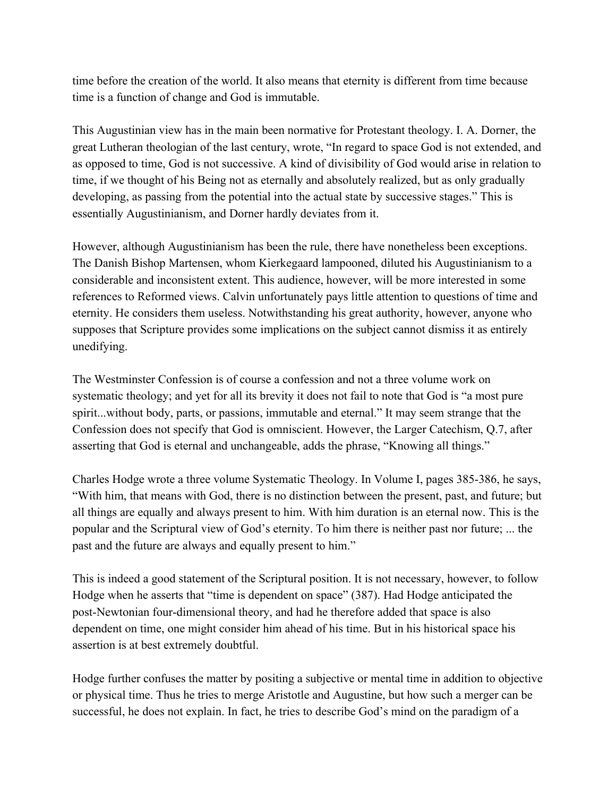time before the creation of the world. It also means that eternity is different from time because time is a function of change and God is immutable.

This Augustinian view has in the main been normative for Protestant theology. I. A. Dorner, the great Lutheran theologian of the last century, wrote, "In regard to space God is not extended, and as opposed to time, God is not successive. A kind of divisibility of God would arise in relation to time, if we thought of his Being not as eternally and absolutely realized, but as only gradually developing, as passing from the potential into the actual state by successive stages." This is essentially Augustinianism, and Dorner hardly deviates from it.

However, although Augustinianism has been the rule, there have nonetheless been exceptions. The Danish Bishop Martensen, whom Kierkegaard lampooned, diluted his Augustinianism to a considerable and inconsistent extent. This audience, however, will be more interested in some references to Reformed views. Calvin unfortunately pays little attention to questions of time and eternity. He considers them useless. Notwithstanding his great authority, however, anyone who supposes that Scripture provides some implications on the subject cannot dismiss it as entirely unedifying.

The Westminster Confession is of course a confession and not a three volume work on systematic theology; and yet for all its brevity it does not fail to note that God is "a most pure spirit...without body, parts, or passions, immutable and eternal." It may seem strange that the Confession does not specify that God is omniscient. However, the Larger Catechism, Q.7, after asserting that God is eternal and unchangeable, adds the phrase, "Knowing all things."

Charles Hodge wrote a three volume Systematic Theology. In Volume I, pages 385-386, he says, "With him, that means with God, there is no distinction between the present, past, and future; but all things are equally and always present to him. With him duration is an eternal now. This is the popular and the Scriptural view of God's eternity. To him there is neither past nor future; ... the past and the future are always and equally present to him."

This is indeed a good statement of the Scriptural position. It is not necessary, however, to follow Hodge when he asserts that "time is dependent on space" (387). Had Hodge anticipated the post-Newtonian four-dimensional theory, and had he therefore added that space is also dependent on time, one might consider him ahead of his time. But in his historical space his assertion is at best extremely doubtful.

Hodge further confuses the matter by positing a subjective or mental time in addition to objective or physical time. Thus he tries to merge Aristotle and Augustine, but how such a merger can be successful, he does not explain. In fact, he tries to describe God's mind on the paradigm of a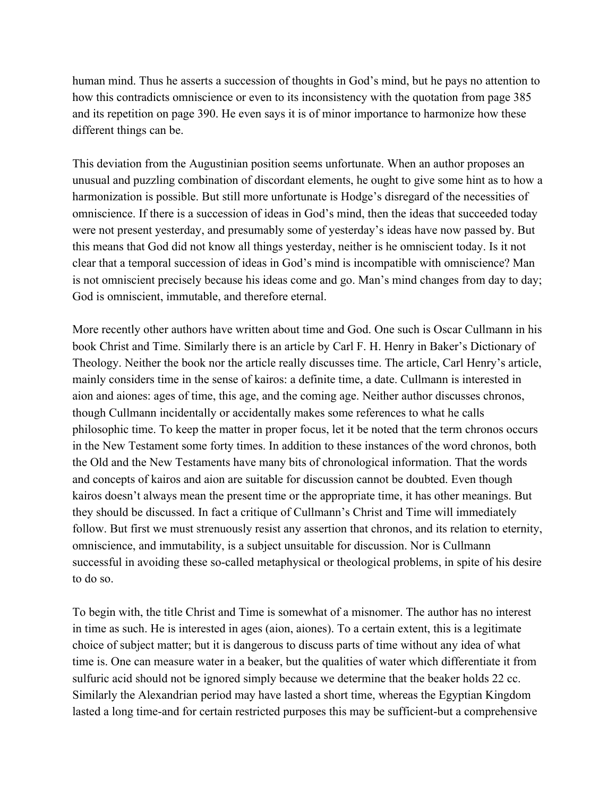human mind. Thus he asserts a succession of thoughts in God's mind, but he pays no attention to how this contradicts omniscience or even to its inconsistency with the quotation from page 385 and its repetition on page 390. He even says it is of minor importance to harmonize how these different things can be.

This deviation from the Augustinian position seems unfortunate. When an author proposes an unusual and puzzling combination of discordant elements, he ought to give some hint as to how a harmonization is possible. But still more unfortunate is Hodge's disregard of the necessities of omniscience. If there is a succession of ideas in God's mind, then the ideas that succeeded today were not present yesterday, and presumably some of yesterday's ideas have now passed by. But this means that God did not know all things yesterday, neither is he omniscient today. Is it not clear that a temporal succession of ideas in God's mind is incompatible with omniscience? Man is not omniscient precisely because his ideas come and go. Man's mind changes from day to day; God is omniscient, immutable, and therefore eternal.

More recently other authors have written about time and God. One such is Oscar Cullmann in his book Christ and Time. Similarly there is an article by Carl F. H. Henry in Baker's Dictionary of Theology. Neither the book nor the article really discusses time. The article, Carl Henry's article, mainly considers time in the sense of kairos: a definite time, a date. Cullmann is interested in aion and aiones: ages of time, this age, and the coming age. Neither author discusses chronos, though Cullmann incidentally or accidentally makes some references to what he calls philosophic time. To keep the matter in proper focus, let it be noted that the term chronos occurs in the New Testament some forty times. In addition to these instances of the word chronos, both the Old and the New Testaments have many bits of chronological information. That the words and concepts of kairos and aion are suitable for discussion cannot be doubted. Even though kairos doesn't always mean the present time or the appropriate time, it has other meanings. But they should be discussed. In fact a critique of Cullmann's Christ and Time will immediately follow. But first we must strenuously resist any assertion that chronos, and its relation to eternity, omniscience, and immutability, is a subject unsuitable for discussion. Nor is Cullmann successful in avoiding these so-called metaphysical or theological problems, in spite of his desire to do so.

To begin with, the title Christ and Time is somewhat of a misnomer. The author has no interest in time as such. He is interested in ages (aion, aiones). To a certain extent, this is a legitimate choice of subject matter; but it is dangerous to discuss parts of time without any idea of what time is. One can measure water in a beaker, but the qualities of water which differentiate it from sulfuric acid should not be ignored simply because we determine that the beaker holds 22 cc. Similarly the Alexandrian period may have lasted a short time, whereas the Egyptian Kingdom lasted a long time-and for certain restricted purposes this may be sufficient-but a comprehensive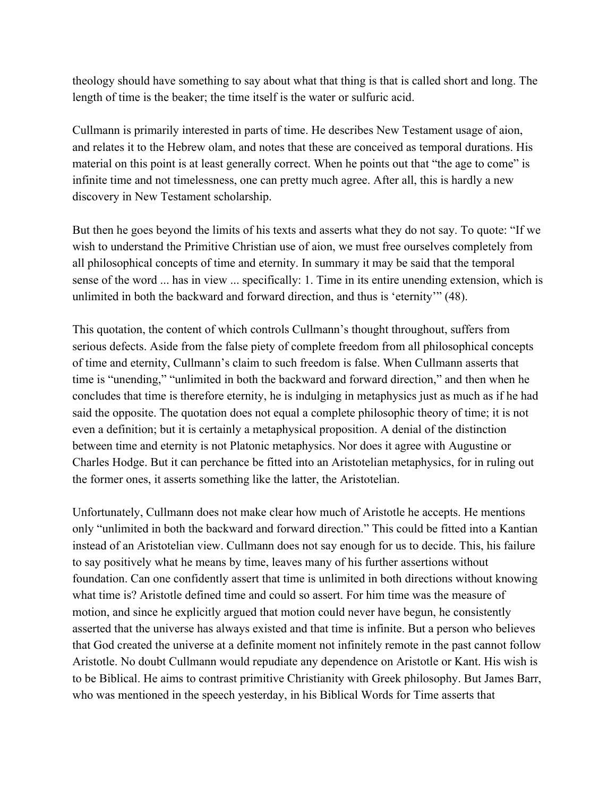theology should have something to say about what that thing is that is called short and long. The length of time is the beaker; the time itself is the water or sulfuric acid.

Cullmann is primarily interested in parts of time. He describes New Testament usage of aion, and relates it to the Hebrew olam, and notes that these are conceived as temporal durations. His material on this point is at least generally correct. When he points out that "the age to come" is infinite time and not timelessness, one can pretty much agree. After all, this is hardly a new discovery in New Testament scholarship.

But then he goes beyond the limits of his texts and asserts what they do not say. To quote: "If we wish to understand the Primitive Christian use of aion, we must free ourselves completely from all philosophical concepts of time and eternity. In summary it may be said that the temporal sense of the word ... has in view ... specifically: 1. Time in its entire unending extension, which is unlimited in both the backward and forward direction, and thus is 'eternity'" (48).

This quotation, the content of which controls Cullmann's thought throughout, suffers from serious defects. Aside from the false piety of complete freedom from all philosophical concepts of time and eternity, Cullmann's claim to such freedom is false. When Cullmann asserts that time is "unending," "unlimited in both the backward and forward direction," and then when he concludes that time is therefore eternity, he is indulging in metaphysics just as much as if he had said the opposite. The quotation does not equal a complete philosophic theory of time; it is not even a definition; but it is certainly a metaphysical proposition. A denial of the distinction between time and eternity is not Platonic metaphysics. Nor does it agree with Augustine or Charles Hodge. But it can perchance be fitted into an Aristotelian metaphysics, for in ruling out the former ones, it asserts something like the latter, the Aristotelian.

Unfortunately, Cullmann does not make clear how much of Aristotle he accepts. He mentions only "unlimited in both the backward and forward direction." This could be fitted into a Kantian instead of an Aristotelian view. Cullmann does not say enough for us to decide. This, his failure to say positively what he means by time, leaves many of his further assertions without foundation. Can one confidently assert that time is unlimited in both directions without knowing what time is? Aristotle defined time and could so assert. For him time was the measure of motion, and since he explicitly argued that motion could never have begun, he consistently asserted that the universe has always existed and that time is infinite. But a person who believes that God created the universe at a definite moment not infinitely remote in the past cannot follow Aristotle. No doubt Cullmann would repudiate any dependence on Aristotle or Kant. His wish is to be Biblical. He aims to contrast primitive Christianity with Greek philosophy. But James Barr, who was mentioned in the speech yesterday, in his Biblical Words for Time asserts that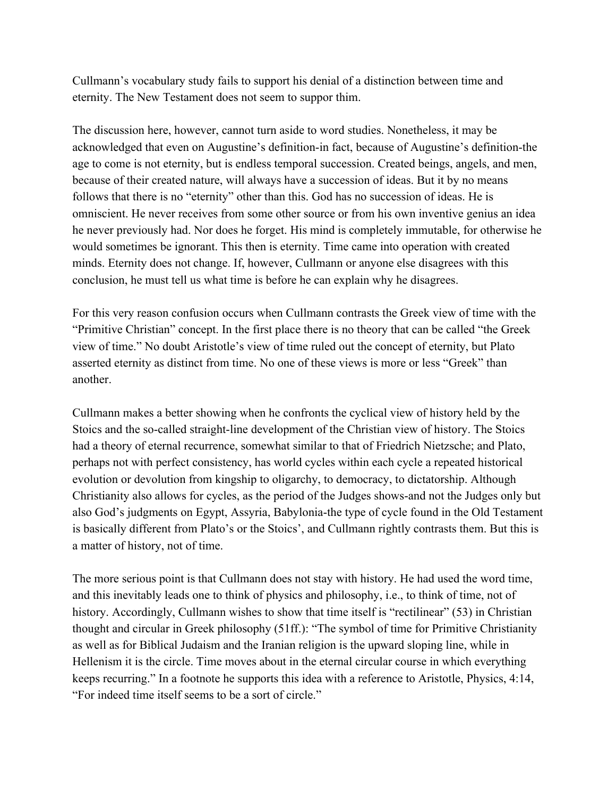Cullmann's vocabulary study fails to support his denial of a distinction between time and eternity. The New Testament does not seem to suppor thim.

The discussion here, however, cannot turn aside to word studies. Nonetheless, it may be acknowledged that even on Augustine's definition-in fact, because of Augustine's definition-the age to come is not eternity, but is endless temporal succession. Created beings, angels, and men, because of their created nature, will always have a succession of ideas. But it by no means follows that there is no "eternity" other than this. God has no succession of ideas. He is omniscient. He never receives from some other source or from his own inventive genius an idea he never previously had. Nor does he forget. His mind is completely immutable, for otherwise he would sometimes be ignorant. This then is eternity. Time came into operation with created minds. Eternity does not change. If, however, Cullmann or anyone else disagrees with this conclusion, he must tell us what time is before he can explain why he disagrees.

For this very reason confusion occurs when Cullmann contrasts the Greek view of time with the "Primitive Christian" concept. In the first place there is no theory that can be called "the Greek view of time." No doubt Aristotle's view of time ruled out the concept of eternity, but Plato asserted eternity as distinct from time. No one of these views is more or less "Greek" than another.

Cullmann makes a better showing when he confronts the cyclical view of history held by the Stoics and the so-called straight-line development of the Christian view of history. The Stoics had a theory of eternal recurrence, somewhat similar to that of Friedrich Nietzsche; and Plato, perhaps not with perfect consistency, has world cycles within each cycle a repeated historical evolution or devolution from kingship to oligarchy, to democracy, to dictatorship. Although Christianity also allows for cycles, as the period of the Judges shows-and not the Judges only but also God's judgments on Egypt, Assyria, Babylonia-the type of cycle found in the Old Testament is basically different from Plato's or the Stoics', and Cullmann rightly contrasts them. But this is a matter of history, not of time.

The more serious point is that Cullmann does not stay with history. He had used the word time, and this inevitably leads one to think of physics and philosophy, i.e., to think of time, not of history. Accordingly, Cullmann wishes to show that time itself is "rectilinear" (53) in Christian thought and circular in Greek philosophy (51ff.): "The symbol of time for Primitive Christianity as well as for Biblical Judaism and the Iranian religion is the upward sloping line, while in Hellenism it is the circle. Time moves about in the eternal circular course in which everything keeps recurring." In a footnote he supports this idea with a reference to Aristotle, Physics, 4:14, "For indeed time itself seems to be a sort of circle."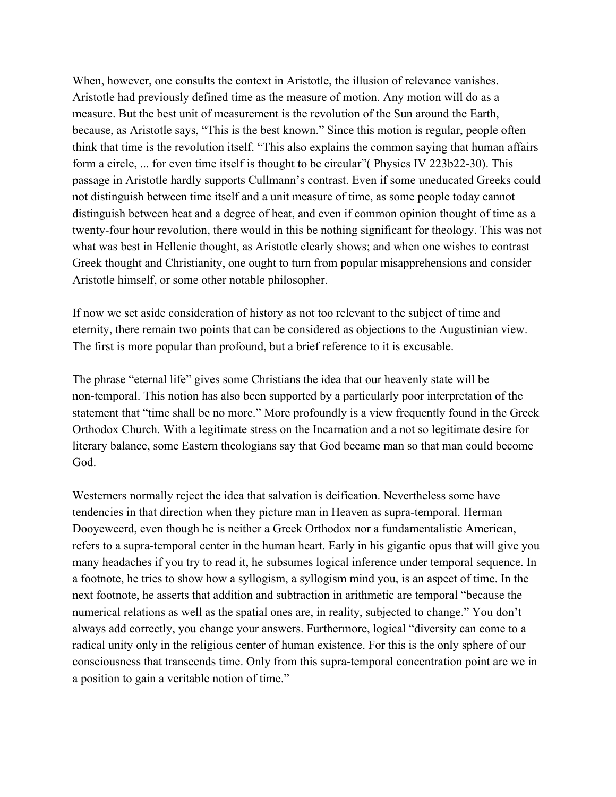When, however, one consults the context in Aristotle, the illusion of relevance vanishes. Aristotle had previously defined time as the measure of motion. Any motion will do as a measure. But the best unit of measurement is the revolution of the Sun around the Earth, because, as Aristotle says, "This is the best known." Since this motion is regular, people often think that time is the revolution itself. "This also explains the common saying that human affairs form a circle, ... for even time itself is thought to be circular" (Physics IV 223b22-30). This passage in Aristotle hardly supports Cullmann's contrast. Even if some uneducated Greeks could not distinguish between time itself and a unit measure of time, as some people today cannot distinguish between heat and a degree of heat, and even if common opinion thought of time as a twenty-four hour revolution, there would in this be nothing significant for theology. This was not what was best in Hellenic thought, as Aristotle clearly shows; and when one wishes to contrast Greek thought and Christianity, one ought to turn from popular misapprehensions and consider Aristotle himself, or some other notable philosopher.

If now we set aside consideration of history as not too relevant to the subject of time and eternity, there remain two points that can be considered as objections to the Augustinian view. The first is more popular than profound, but a brief reference to it is excusable.

The phrase "eternal life" gives some Christians the idea that our heavenly state will be non-temporal. This notion has also been supported by a particularly poor interpretation of the statement that "time shall be no more." More profoundly is a view frequently found in the Greek Orthodox Church. With a legitimate stress on the Incarnation and a not so legitimate desire for literary balance, some Eastern theologians say that God became man so that man could become God.

Westerners normally reject the idea that salvation is deification. Nevertheless some have tendencies in that direction when they picture man in Heaven as supra-temporal. Herman Dooyeweerd, even though he is neither a Greek Orthodox nor a fundamentalistic American, refers to a supra-temporal center in the human heart. Early in his gigantic opus that will give you many headaches if you try to read it, he subsumes logical inference under temporal sequence. In a footnote, he tries to show how a syllogism, a syllogism mind you, is an aspect of time. In the next footnote, he asserts that addition and subtraction in arithmetic are temporal "because the numerical relations as well as the spatial ones are, in reality, subjected to change." You don't always add correctly, you change your answers. Furthermore, logical "diversity can come to a radical unity only in the religious center of human existence. For this is the only sphere of our consciousness that transcends time. Only from this supra-temporal concentration point are we in a position to gain a veritable notion of time."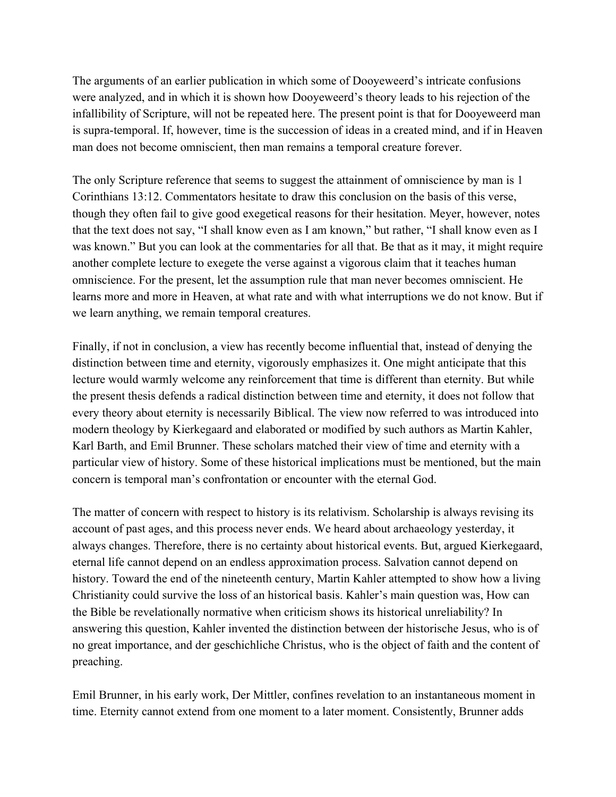The arguments of an earlier publication in which some of Dooyeweerd's intricate confusions were analyzed, and in which it is shown how Dooyeweerd's theory leads to his rejection of the infallibility of Scripture, will not be repeated here. The present point is that for Dooyeweerd man is supra-temporal. If, however, time is the succession of ideas in a created mind, and if in Heaven man does not become omniscient, then man remains a temporal creature forever.

The only Scripture reference that seems to suggest the attainment of omniscience by man is 1 Corinthians 13:12. Commentators hesitate to draw this conclusion on the basis of this verse, though they often fail to give good exegetical reasons for their hesitation. Meyer, however, notes that the text does not say, "I shall know even as I am known," but rather, "I shall know even as I was known." But you can look at the commentaries for all that. Be that as it may, it might require another complete lecture to exegete the verse against a vigorous claim that it teaches human omniscience. For the present, let the assumption rule that man never becomes omniscient. He learns more and more in Heaven, at what rate and with what interruptions we do not know. But if we learn anything, we remain temporal creatures.

Finally, if not in conclusion, a view has recently become influential that, instead of denying the distinction between time and eternity, vigorously emphasizes it. One might anticipate that this lecture would warmly welcome any reinforcement that time is different than eternity. But while the present thesis defends a radical distinction between time and eternity, it does not follow that every theory about eternity is necessarily Biblical. The view now referred to was introduced into modern theology by Kierkegaard and elaborated or modified by such authors as Martin Kahler, Karl Barth, and Emil Brunner. These scholars matched their view of time and eternity with a particular view of history. Some of these historical implications must be mentioned, but the main concern is temporal man's confrontation or encounter with the eternal God.

The matter of concern with respect to history is its relativism. Scholarship is always revising its account of past ages, and this process never ends. We heard about archaeology yesterday, it always changes. Therefore, there is no certainty about historical events. But, argued Kierkegaard, eternal life cannot depend on an endless approximation process. Salvation cannot depend on history. Toward the end of the nineteenth century, Martin Kahler attempted to show how a living Christianity could survive the loss of an historical basis. Kahler's main question was, How can the Bible be revelationally normative when criticism shows its historical unreliability? In answering this question, Kahler invented the distinction between der historische Jesus, who is of no great importance, and der geschichliche Christus, who is the object of faith and the content of preaching.

Emil Brunner, in his early work, Der Mittler, confines revelation to an instantaneous moment in time. Eternity cannot extend from one moment to a later moment. Consistently, Brunner adds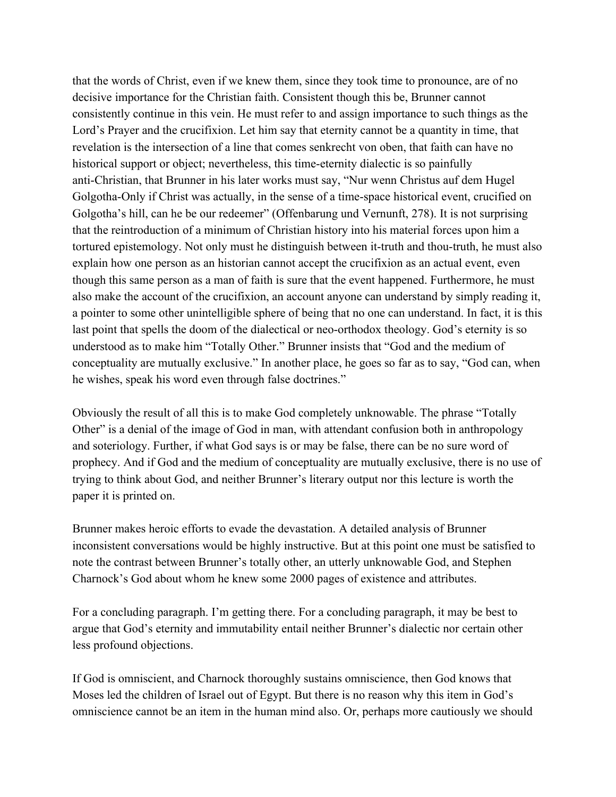that the words of Christ, even if we knew them, since they took time to pronounce, are of no decisive importance for the Christian faith. Consistent though this be, Brunner cannot consistently continue in this vein. He must refer to and assign importance to such things as the Lord's Prayer and the crucifixion. Let him say that eternity cannot be a quantity in time, that revelation is the intersection of a line that comes senkrecht von oben, that faith can have no historical support or object; nevertheless, this time-eternity dialectic is so painfully anti-Christian, that Brunner in his later works must say, "Nur wenn Christus auf dem Hugel Golgotha-Only if Christ was actually, in the sense of a time-space historical event, crucified on Golgotha's hill, can he be our redeemer" (Offenbarung und Vernunft, 278). It is not surprising that the reintroduction of a minimum of Christian history into his material forces upon him a tortured epistemology. Not only must he distinguish between it-truth and thou-truth, he must also explain how one person as an historian cannot accept the crucifixion as an actual event, even though this same person as a man of faith is sure that the event happened. Furthermore, he must also make the account of the crucifixion, an account anyone can understand by simply reading it, a pointer to some other unintelligible sphere of being that no one can understand. In fact, it is this last point that spells the doom of the dialectical or neo-orthodox theology. God's eternity is so understood as to make him "Totally Other." Brunner insists that "God and the medium of conceptuality are mutually exclusive." In another place, he goes so far as to say, "God can, when he wishes, speak his word even through false doctrines."

Obviously the result of all this is to make God completely unknowable. The phrase "Totally Other" is a denial of the image of God in man, with attendant confusion both in anthropology and soteriology. Further, if what God says is or may be false, there can be no sure word of prophecy. And if God and the medium of conceptuality are mutually exclusive, there is no use of trying to think about God, and neither Brunner's literary output nor this lecture is worth the paper it is printed on.

Brunner makes heroic efforts to evade the devastation. A detailed analysis of Brunner inconsistent conversations would be highly instructive. But at this point one must be satisfied to note the contrast between Brunner's totally other, an utterly unknowable God, and Stephen Charnock's God about whom he knew some 2000 pages of existence and attributes.

For a concluding paragraph. I'm getting there. For a concluding paragraph, it may be best to argue that God's eternity and immutability entail neither Brunner's dialectic nor certain other less profound objections.

If God is omniscient, and Charnock thoroughly sustains omniscience, then God knows that Moses led the children of Israel out of Egypt. But there is no reason why this item in God's omniscience cannot be an item in the human mind also. Or, perhaps more cautiously we should